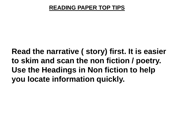**Read the narrative ( story) first. It is easier to skim and scan the non fiction / poetry. Use the Headings in Non fiction to help you locate information quickly.**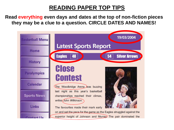**Read everything even days and dates at the top of non-fiction pieces they may be a clue to a question. CIRCLE DATES AND NAMES!**

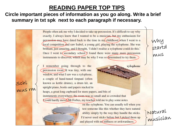#### **Circle important pieces of information as you go along. Write a brief summary in txt spk next to each paragraph if necessary.**

People often ask me why I decided to take up percussion. It's difficult to say why exactly. I always knew that I wanted to be a musician, but my enthusiasm for percussion may have dated back to the time in  $m\sqrt{\frac{1}{2}}$  childhood when I went to a local competition and saw Isabel, a young girl, playing the xylophone. She was brilliant, just amazing, and I thought, 'I didn't realise a xylophone could do this.' mus Once I went to secondary school  $\chi$  found there were many more percussion instruments to discover, which may be why I was so determined to try them. I remember going through to the xylophone percussion room.)It was tiny, with one window, and what I saw was a xylophone, a couple of hand-tuned timpani (often Schl.<br>mus rm known as kettle drums), a drum kit, an upright piano, books and papers stacked in heaps, a great long cupboard for more papers, and bits of instruments everywhere; the room was so small and so crowded that

**Could hardly move Mr Forbes, my teacher** told me to play some notes



on the xylophone. You can usually tell when you test someone like this whether they have natural ability simply by the way they handle the sticks. I'd never used sticks before but I picked them up and played with no stiffness or awkwardness.

Matural<br>musícian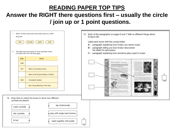## Answer the RIGHT there questions first – usually the circle / join up or 1 point questions.

| 1.                                        | Which of these instruments did Evelyn learn as a child?<br>Ring one. |                                                                                                  |  |  |  |
|-------------------------------------------|----------------------------------------------------------------------|--------------------------------------------------------------------------------------------------|--|--|--|
| $recorder$ )<br>guitar<br>flute<br>violin |                                                                      |                                                                                                  |  |  |  |
| 2.                                        |                                                                      | This table shows the dates of some important events<br>in Evelyn's life. Fill in the three gaps. |  |  |  |
|                                           | <b>Date</b>                                                          | <b>Event</b>                                                                                     |  |  |  |
|                                           | 1965                                                                 |                                                                                                  |  |  |  |
|                                           | 1977                                                                 | Went to secondary school                                                                         |  |  |  |
|                                           |                                                                      | Went to the Royal Academy of Music                                                               |  |  |  |
|                                           | 1984                                                                 | <b>Completed studies</b>                                                                         |  |  |  |
|                                           |                                                                      | Won Young Musician of the Year                                                                   |  |  |  |
|                                           |                                                                      |                                                                                                  |  |  |  |

18. Draw lines to match the boxes to show how different cymbals are played.

| crash cymbals | tap rhythmically              |              |
|---------------|-------------------------------|--------------|
| ride cymbals  | play with single hard strokes |              |
| hi-hat        | clash together with pedal     | 18<br>1 mark |

12. Each of the paragraphs on pages 6 and 7 tells us different things about Evelyn's life.

I abel each arrow with the correct letter.

- A paragraph explaining how Evelyn can sense music
- B paragraph telling you how Evelyn discovered her talent for percussion
- C paragraph explaining how emotions play a part in music

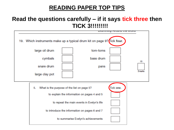### **Read the questions carefully – if it says tick three then TICK 3!!!!!!!!!**

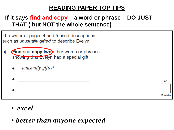## **If it says find and copy – a word or phrase – DO JUST THAT ( but NOT the whole sentence)**

The writer of pages 4 and 5 used descriptions such as *unusually gifted* to describe Evelyn.

- Find and copy two other words or phrases a) showing that Evelyn had a special gift.
	- unusually gifted



4a

2 marks

• *excel*

• *better than anyone expected*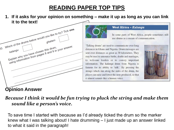**1. If it asks for your opinion on something – make it up as long as you can link it to the text!**





#### **West Africa - Kalangu**

In some parts of West Africa, people sometimes still use drums as a means of communication.

'Talking drums' are used to communicate over long distances in Ghana and Nigeria. Drum messages are sent over distances as great as 30 kilometres. They may be used to announce births, deaths and marriages, to welcome leaders or to convey important information. The kalangu drum from Nigeria is famous for its ability to 'talk'. By pressing the strings which run along the sides of the drum, the player can raise and lower the note produced, so that it almost sounds like a human voice.



### **Opinion Answer**

#### *Because I think it would be fun trying to pluck the string and make them sound like a person's voice.*

To save time I started with because as I'd already ticked the drum so the marker knew what I was talking about! I hate drumming – I just made up an answer linked to what it said in the paragraph!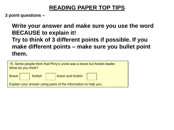**3 point questions –**

**Write your answer and make sure you use the word BECAUSE to explain it! Try to think of 3 different points if possible. If you make different points – make sure you bullet point them.**

| 15. Some people think that Pliny's uncle was a brave but foolish leader.<br>What do you think?               |  |  |  |  |  |  |
|--------------------------------------------------------------------------------------------------------------|--|--|--|--|--|--|
| $\begin{array}{ c c c }\hline \text{foolish} & \text{brace and foolish}\ \hline \end{array}$<br><b>Brave</b> |  |  |  |  |  |  |
| Explain your answer using parts of the information to help you.                                              |  |  |  |  |  |  |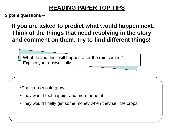**3 point questions –**

**If you are asked to predict what would happen next. Think of the things that need resolving in the story and comment on them. Try to find different things!** 

What do you think will happen after the rain comes? Explain your answer fully.

- •The crops would grow
- •They would feel happier and more hopeful
- •They would finally get some money when they sell the crops.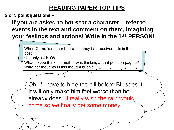**2 or 3 point questions –**

**If you are asked to hot seat a character – refer to events in the text and comment on them, imagining your feelings and actions! Write in the 1ST PERSON!**

When Garnet's mother heard that they had received bills in the post,

she only said: *'Oh'*.

What do you think the mother was thinking at that point on page 5? Write her thoughts in this thought bubble.

Oh! I'll have to hide the bill before Bill sees it. It will only make him feel worse than he already does. I really wish the rain would come so we finally get some money.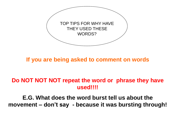

**If you are being asked to comment on words** 

### **Do NOT NOT NOT repeat the word or phrase they have used!!!!**

**E.G. What does the word burst tell us about the movement – don't say - because it was bursting through!**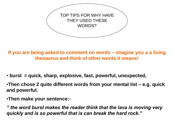

**If you are being asked to comment on words – imagine you a a living thesaurus and think of other words it means!**

• **burst = quick, sharp, explosive, fast, powerful, unexpected,** 

•**Then chose 2 quite different words from your mental list – e.g. quick and powerful.**

•**Then make your sentence:-**

*" the word burst makes the reader think that the lava is moving very quickly and is so powerful that is can break the hard rock."*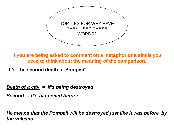

**If you are being asked to comment on a metaphor or a simile you need to think about the meaning of the comparison.**

**"It's the second death of Pompeii"**

*Death of a city = it's being destroyed*

*Second = it's happened before*

*He means that the Pompeii will be destroyed just like it was before by the volcano.*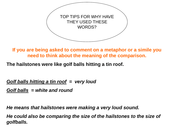

**If you are being asked to comment on a metaphor or a simile you need to think about the meaning of the comparison.**

**The hailstones were like golf balls hitting a tin roof.**

*Golf balls hitting a tin roof = very loud*

*Golf balls = white and round*

*He means that hailstones were making a very loud sound.* 

*He could also be comparing the size of the hailstones to the size of golfballs.*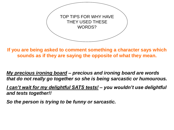

**If you are being asked to comment something a character says which sounds as if they are saying the opposite of what they mean.**

*My precious ironing board – precious and ironing board are words that do not really go together so she is being sarcastic or humourous.*

*I can't wait for my delightful SATS tests! – you wouldn't use delightful and tests together!!*

*So the person is trying to be funny or sarcastic.*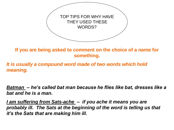

**If you are being asked to comment on the choice of a name for something.**

*It is usually a compound word made of two words which hold meaning.*

*Batman – he's called bat man because he flies like bat, dresses like a bat and he is a man.*

*I am suffering from Sats-ache – if you ache it means you are probably ill. The Sats at the beginning of the word is telling us that it's the Sats that are making him ill.*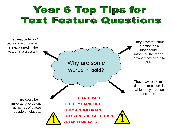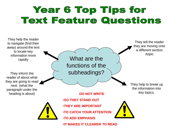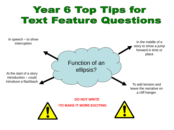